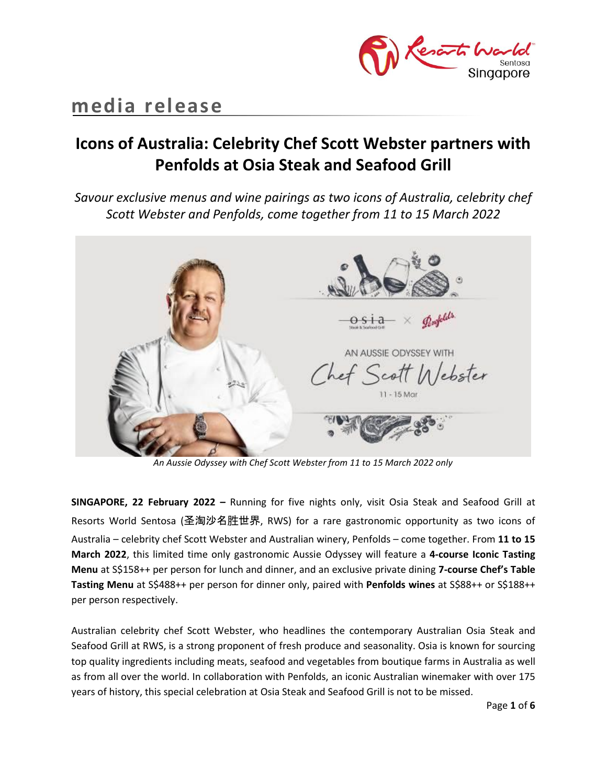

# **media release**

## **Icons of Australia: Celebrity Chef Scott Webster partners with Penfolds at Osia Steak and Seafood Grill**

*Savour exclusive menus and wine pairings as two icons of Australia, celebrity chef Scott Webster and Penfolds, come together from 11 to 15 March 2022*



*An Aussie Odyssey with Chef Scott Webster from 11 to 15 March 2022 only*

**SINGAPORE, 22 February 2022 –** Running for five nights only, visit Osia Steak and Seafood Grill at Resorts World Sentosa (圣淘沙名胜世界, RWS) for a rare gastronomic opportunity as two icons of Australia – celebrity chef Scott Webster and Australian winery, Penfolds – come together. From **11 to 15 March 2022**, this limited time only gastronomic Aussie Odyssey will feature a **4-course Iconic Tasting Menu** at S\$158++ per person for lunch and dinner, and an exclusive private dining **7-course Chef's Table Tasting Menu** at S\$488++ per person for dinner only, paired with **Penfolds wines** at S\$88++ or S\$188++ per person respectively.

Australian celebrity chef Scott Webster, who headlines the contemporary Australian Osia Steak and Seafood Grill at RWS, is a strong proponent of fresh produce and seasonality. Osia is known for sourcing top quality ingredients including meats, seafood and vegetables from boutique farms in Australia as well as from all over the world. In collaboration with Penfolds, an iconic Australian winemaker with over 175 years of history, this special celebration at Osia Steak and Seafood Grill is not to be missed.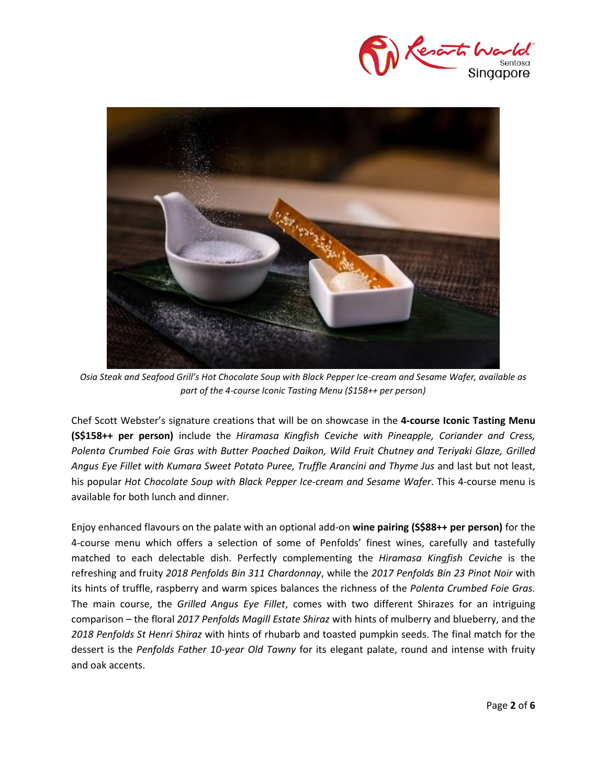



*Osia Steak and Seafood Grill's Hot Chocolate Soup with Black Pepper Ice-cream and Sesame Wafer, available as part of the 4-course Iconic Tasting Menu (\$158++ per person)*

Chef Scott Webster's signature creations that will be on showcase in the **4-course Iconic Tasting Menu (S\$158++ per person)** include the *Hiramasa Kingfish Ceviche with Pineapple, Coriander and Cress, Polenta Crumbed Foie Gras with Butter Poached Daikon, Wild Fruit Chutney and Teriyaki Glaze, Grilled*  Angus Eye Fillet with Kumara Sweet Potato Puree, Truffle Arancini and Thyme Jus and last but not least, his popular *Hot Chocolate Soup with Black Pepper Ice-cream and Sesame Wafer*. This 4-course menu is available for both lunch and dinner.

Enjoy enhanced flavours on the palate with an optional add-on **wine pairing (S\$88++ per person)** for the 4-course menu which offers a selection of some of Penfolds' finest wines, carefully and tastefully matched to each delectable dish. Perfectly complementing the *Hiramasa Kingfish Ceviche* is the refreshing and fruity *2018 Penfolds Bin 311 Chardonnay*, while the *2017 Penfolds Bin 23 Pinot Noir* with its hints of truffle, raspberry and warm spices balances the richness of the *Polenta Crumbed Foie Gras.* The main course, the *Grilled Angus Eye Fillet*, comes with two different Shirazes for an intriguing comparison *–* the floral *2017 Penfolds Magill Estate Shiraz* with hints of mulberry and blueberry, and th*e 2018 Penfolds St Henri Shiraz* with hints of rhubarb and toasted pumpkin seeds. The final match for the dessert is the *Penfolds Father 10-year Old Tawny* for its elegant palate, round and intense with fruity and oak accents.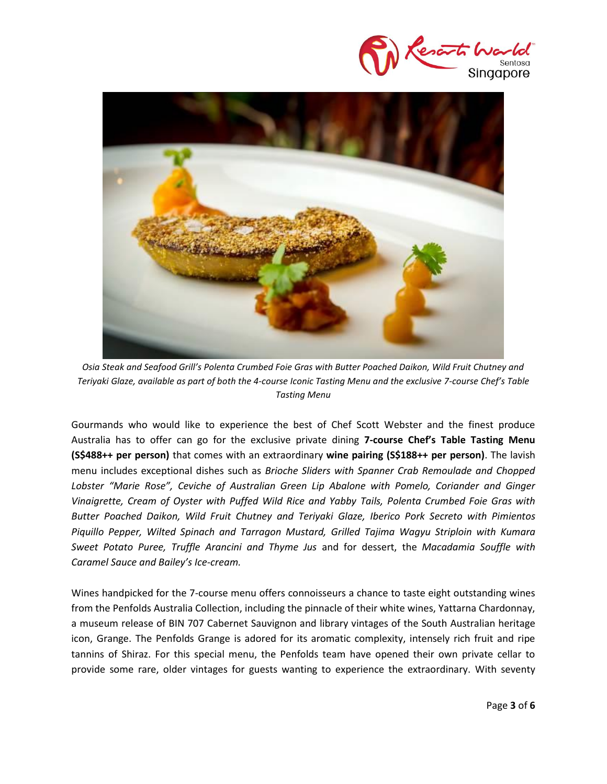



*Osia Steak and Seafood Grill's Polenta Crumbed Foie Gras with Butter Poached Daikon, Wild Fruit Chutney and Teriyaki Glaze, available as part of both the 4-course Iconic Tasting Menu and the exclusive 7-course Chef's Table Tasting Menu*

Gourmands who would like to experience the best of Chef Scott Webster and the finest produce Australia has to offer can go for the exclusive private dining **7-course Chef's Table Tasting Menu (S\$488++ per person)** that comes with an extraordinary **wine pairing (S\$188++ per person)**. The lavish menu includes exceptional dishes such as *Brioche Sliders with Spanner Crab Remoulade and Chopped Lobster "Marie Rose", Ceviche of Australian Green Lip Abalone with Pomelo, Coriander and Ginger Vinaigrette, Cream of Oyster with Puffed Wild Rice and Yabby Tails, Polenta Crumbed Foie Gras with Butter Poached Daikon, Wild Fruit Chutney and Teriyaki Glaze, Iberico Pork Secreto with Pimientos Piquillo Pepper, Wilted Spinach and Tarragon Mustard, Grilled Tajima Wagyu Striploin with Kumara Sweet Potato Puree, Truffle Arancini and Thyme Jus* and for dessert, the *Macadamia Souffle with Caramel Sauce and Bailey's Ice-cream.* 

Wines handpicked for the 7-course menu offers connoisseurs a chance to taste eight outstanding wines from the Penfolds Australia Collection, including the pinnacle of their white wines, Yattarna Chardonnay, a museum release of BIN 707 Cabernet Sauvignon and library vintages of the South Australian heritage icon, Grange. The Penfolds Grange is adored for its aromatic complexity, intensely rich fruit and ripe tannins of Shiraz. For this special menu, the Penfolds team have opened their own private cellar to provide some rare, older vintages for guests wanting to experience the extraordinary. With seventy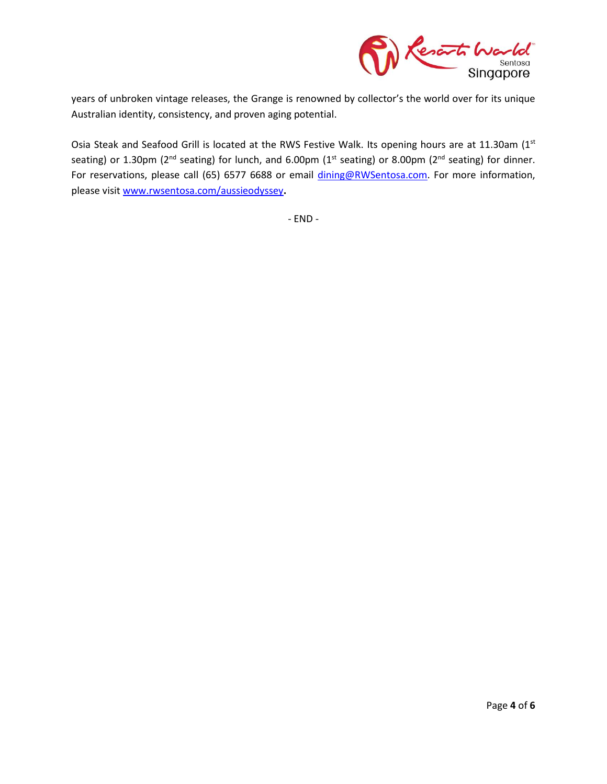

years of unbroken vintage releases, the Grange is renowned by collector's the world over for its unique Australian identity, consistency, and proven aging potential.

Osia Steak and Seafood Grill is located at the RWS Festive Walk. Its opening hours are at 11.30am (1st seating) or 1.30pm ( $2^{nd}$  seating) for lunch, and 6.00pm ( $1^{st}$  seating) or 8.00pm ( $2^{nd}$  seating) for dinner. For reservations, please call (65) 6577 6688 or email [dining@RWSentosa.com.](mailto:dining@RWSentosa.com) For more information, please visit [www.rwsentosa.com/aussieodyssey](http://www.rwsentosa.com/aussieodyssey)**.**

- END -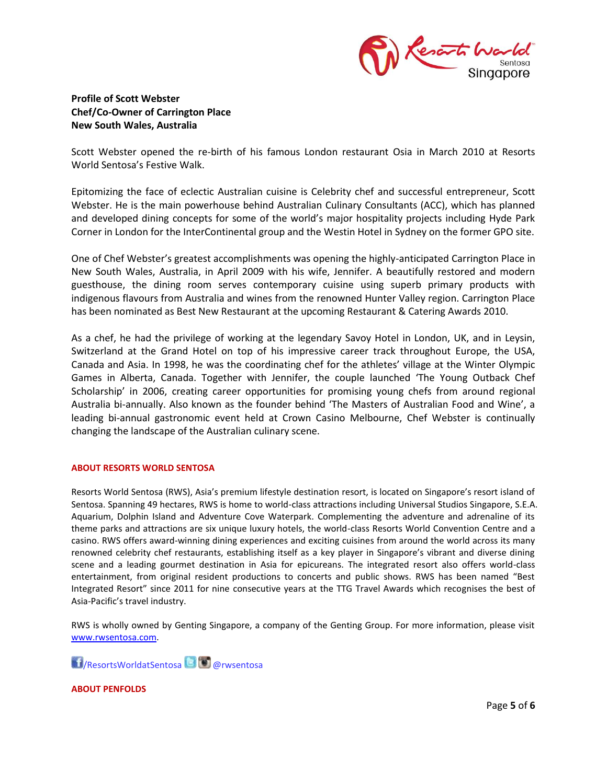

## **Profile of Scott Webster Chef/Co-Owner of Carrington Place New South Wales, Australia**

Scott Webster opened the re-birth of his famous London restaurant Osia in March 2010 at Resorts World Sentosa's Festive Walk.

Epitomizing the face of eclectic Australian cuisine is Celebrity chef and successful entrepreneur, Scott Webster. He is the main powerhouse behind Australian Culinary Consultants (ACC), which has planned and developed dining concepts for some of the world's major hospitality projects including Hyde Park Corner in London for the InterContinental group and the Westin Hotel in Sydney on the former GPO site.

One of Chef Webster's greatest accomplishments was opening the highly-anticipated Carrington Place in New South Wales, Australia, in April 2009 with his wife, Jennifer. A beautifully restored and modern guesthouse, the dining room serves contemporary cuisine using superb primary products with indigenous flavours from Australia and wines from the renowned Hunter Valley region. Carrington Place has been nominated as Best New Restaurant at the upcoming Restaurant & Catering Awards 2010.

As a chef, he had the privilege of working at the legendary Savoy Hotel in London, UK, and in Leysin, Switzerland at the Grand Hotel on top of his impressive career track throughout Europe, the USA, Canada and Asia. In 1998, he was the coordinating chef for the athletes' village at the Winter Olympic Games in Alberta, Canada. Together with Jennifer, the couple launched 'The Young Outback Chef Scholarship' in 2006, creating career opportunities for promising young chefs from around regional Australia bi-annually. Also known as the founder behind 'The Masters of Australian Food and Wine', a leading bi-annual gastronomic event held at Crown Casino Melbourne, Chef Webster is continually changing the landscape of the Australian culinary scene.

### **ABOUT RESORTS WORLD SENTOSA**

Resorts World Sentosa (RWS), Asia's premium lifestyle destination resort, is located on Singapore's resort island of Sentosa. Spanning 49 hectares, RWS is home to world-class attractions including Universal Studios Singapore, S.E.A. Aquarium, Dolphin Island and Adventure Cove Waterpark. Complementing the adventure and adrenaline of its theme parks and attractions are six unique luxury hotels, the world-class Resorts World Convention Centre and a casino. RWS offers award-winning dining experiences and exciting cuisines from around the world across its many renowned celebrity chef restaurants, establishing itself as a key player in Singapore's vibrant and diverse dining scene and a leading gourmet destination in Asia for epicureans. The integrated resort also offers world-class entertainment, from original resident productions to concerts and public shows. RWS has been named "Best Integrated Resort" since 2011 for nine consecutive years at the TTG Travel Awards which recognises the best of Asia-Pacific's travel industry.

RWS is wholly owned by Genting Singapore, a company of the Genting Group. For more information, please visit [www.rwsentosa.com.](http://www.rwsentosa.com/)

/ResortsWorldatSentosa @rwsentosa

**ABOUT PENFOLDS**